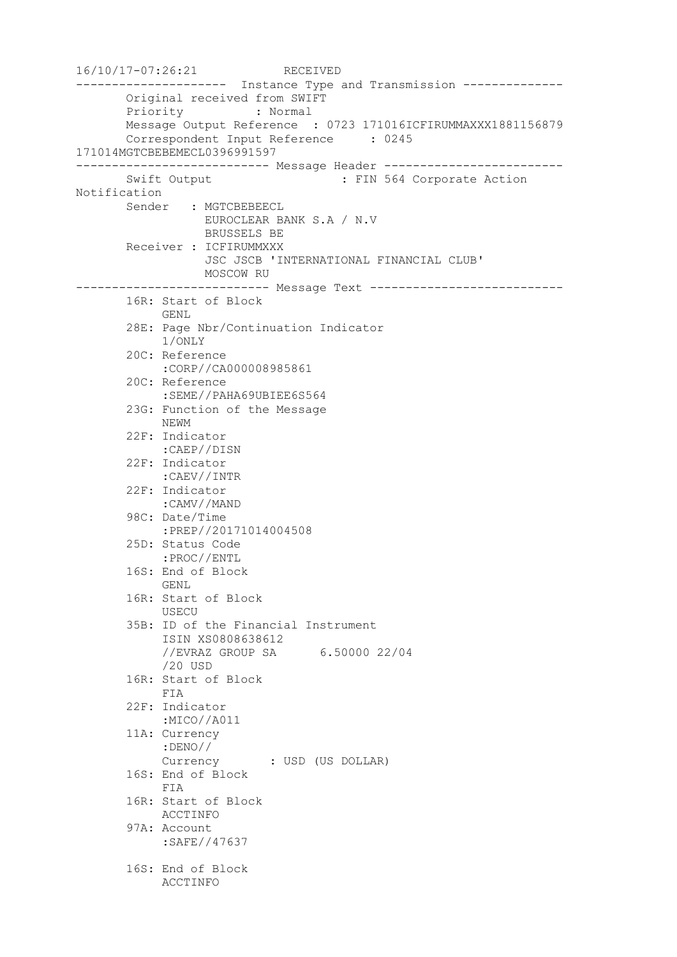16/10/17-07:26:21 RECEIVED --------------------- Instance Type and Transmission -------------- Original received from SWIFT Priority : Normal Message Output Reference : 0723 171016ICFIRUMMAXXX1881156879 Correspondent Input Reference : 0245 171014MGTCBEBEMECL0396991597 --------------------------- Message Header ------------------------- Swift Output : FIN 564 Corporate Action Notification Sender : MGTCBEBEECL EUROCLEAR BANK S.A / N.V BRUSSELS BE Receiver : ICFIRUMMXXX JSC JSCB 'INTERNATIONAL FINANCIAL CLUB' MOSCOW RU --------------------------- Message Text --------------------------- 16R: Start of Block GENL 28E: Page Nbr/Continuation Indicator 1/ONLY 20C: Reference :CORP//CA000008985861 20C: Reference :SEME//PAHA69UBIEE6S564 23G: Function of the Message NEWM 22F: Indicator :CAEP//DISN 22F: Indicator :CAEV//INTR 22F: Indicator :CAMV//MAND 98C: Date/Time :PREP//20171014004508 25D: Status Code :PROC//ENTL 16S: End of Block GENL 16R: Start of Block USECU 35B: ID of the Financial Instrument ISIN XS0808638612 //EVRAZ GROUP SA 6.50000 22/04 /20 USD 16R: Start of Block FIA 22F: Indicator :MICO//A011 11A: Currency :DENO// Currency : USD (US DOLLAR) 16S: End of Block FIA 16R: Start of Block ACCTINFO 97A: Account :SAFE//47637 16S: End of Block ACCTINFO